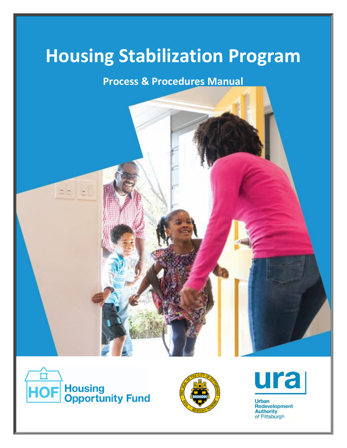# **Housing Stabilization Program**

# **Process & Procedures Manual**







Urban<br>Redevelopment **Authority**  $of$  **Pittsburgh**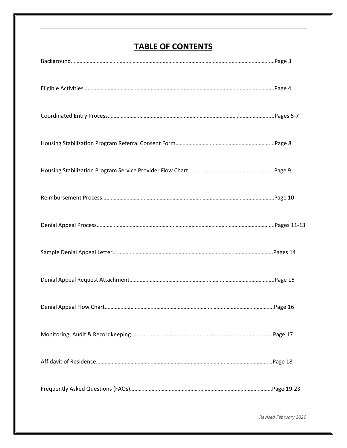# **TABLE OF CONTENTS**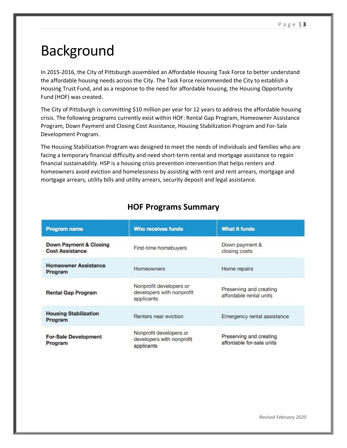# Background

In 2015-2016, the City of Pittsburgh assembled an Affordable Housing Task Force to better understand the affordable housing needs across the City. The Task Force recommended the City to establish a Housing Trust Fund, and as a response to the need for affordable housing, the Housing Opportunity Fund (HOF) was created.

The City of Pittsburgh is committing \$10 million per year for 12 years to address the affordable housing crisis. The following programs currently exist within HOF: Rental Gap Program, Homeowner Assistance Program, Down Payment and Closing Cost Assistance, Housing Stabilization Program and For-Sale Development Program.

The Housing Stabilization Program was designed to meet the needs of individuals and families who are facing a temporary financial difficulty and need short-term rental and mortgage assistance to regain financial sustainability. HSP is a housing crisis prevention intervention that helps renters and homeowners avoid eviction and homelessness by assisting with rent and rent arrears, mortgage and mortgage arrears, utility bills and utility arrears, security deposit and legal assistance.

| <b>Program name</b>                              | <b>Who receives funds</b>                                          | What it funds                                        |
|--------------------------------------------------|--------------------------------------------------------------------|------------------------------------------------------|
| Down Payment & Closing<br><b>Cost Assistance</b> | First-time homebuyers                                              | Down payment &<br>closing costs                      |
| <b>Homeowner Assistance</b><br>Program           | <b>Homeowners</b>                                                  | Home repairs                                         |
| <b>Rental Gap Program</b>                        | Nonprofit developers or<br>developers with nonprofit<br>applicants | Preserving and creating<br>affordable rental units   |
| <b>Housing Stabilization</b><br>Program          | Renters near eviction                                              | Emergency rental assistance                          |
| <b>For-Sale Development</b><br><b>Program</b>    | Nonprofit developers or<br>developers with nonprofit<br>applicants | Preserving and creating<br>affordable for-sale units |

# **HOF Programs Summary**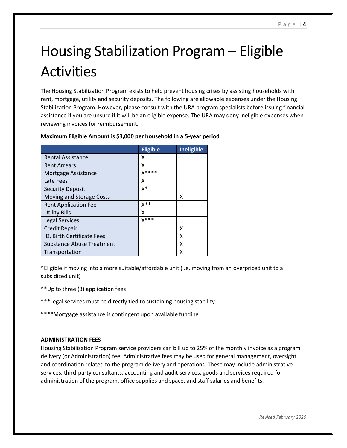# Housing Stabilization Program – Eligible Activities

The Housing Stabilization Program exists to help prevent housing crises by assisting households with rent, mortgage, utility and security deposits. The following are allowable expenses under the Housing Stabilization Program. However, please consult with the URA program specialists before issuing financial assistance if you are unsure if it will be an eligible expense. The URA may deny ineligible expenses when reviewing invoices for reimbursement.

|                                  | <b>Eligible</b> | <b>Ineligible</b> |
|----------------------------------|-----------------|-------------------|
| <b>Rental Assistance</b>         | x               |                   |
| <b>Rent Arrears</b>              | χ               |                   |
| Mortgage Assistance              | $X****$         |                   |
| Late Fees                        | x               |                   |
| <b>Security Deposit</b>          | X*              |                   |
| Moving and Storage Costs         |                 | x                 |
| <b>Rent Application Fee</b>      | X**             |                   |
| <b>Utility Bills</b>             | x               |                   |
| Legal Services                   | $X***$          |                   |
| <b>Credit Repair</b>             |                 | x                 |
| ID, Birth Certificate Fees       |                 | χ                 |
| <b>Substance Abuse Treatment</b> |                 | x                 |
| Transportation                   |                 | x                 |

#### **Maximum Eligible Amount is \$3,000 per household in a 5-year period**

\*Eligible if moving into a more suitable/affordable unit (i.e. moving from an overpriced unit to a subsidized unit)

- \*\*Up to three (3) application fees
- \*\*\*Legal services must be directly tied to sustaining housing stability
- \*\*\*\*Mortgage assistance is contingent upon available funding

#### **ADMINISTRATION FEES**

Housing Stabilization Program service providers can bill up to 25% of the monthly invoice as a program delivery (or Administration) fee. Administrative fees may be used for general management, oversight and coordination related to the program delivery and operations. These may include administrative services, third-party consultants, accounting and audit services, goods and services required for administration of the program, office supplies and space, and staff salaries and benefits.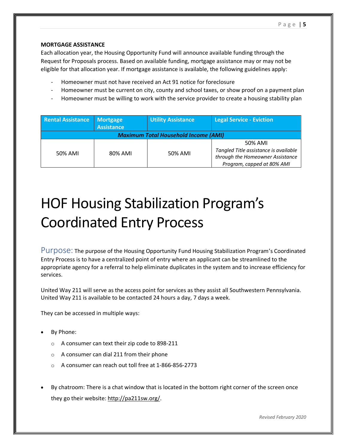#### **MORTGAGE ASSISTANCE**

Each allocation year, the Housing Opportunity Fund will announce available funding through the Request for Proposals process. Based on available funding, mortgage assistance may or may not be eligible for that allocation year. If mortgage assistance is available, the following guidelines apply:

- Homeowner must not have received an Act 91 notice for foreclosure
- Homeowner must be current on city, county and school taxes, or show proof on a payment plan
- Homeowner must be willing to work with the service provider to create a housing stability plan

| <b>Rental Assistance</b>                    | <b>Mortgage</b>   | <b>Utility Assistance</b> | <b>Legal Service - Eviction</b>       |  |
|---------------------------------------------|-------------------|---------------------------|---------------------------------------|--|
|                                             | <b>Assistance</b> |                           |                                       |  |
| <b>Maximum Total Household Income (AMI)</b> |                   |                           |                                       |  |
|                                             |                   |                           | 50% AMI                               |  |
| 50% AMI                                     | 80% AMI           | 50% AMI                   | Tangled Title assistance is available |  |
|                                             |                   |                           | through the Homeowner Assistance      |  |
|                                             |                   |                           | Program, capped at 80% AMI            |  |

# HOF Housing Stabilization Program's Coordinated Entry Process

Purpose: The purpose of the Housing Opportunity Fund Housing Stabilization Program's Coordinated Entry Process is to have a centralized point of entry where an applicant can be streamlined to the appropriate agency for a referral to help eliminate duplicates in the system and to increase efficiency for services.

United Way 211 will serve as the access point for services as they assist all Southwestern Pennsylvania. United Way 211 is available to be contacted 24 hours a day, 7 days a week.

They can be accessed in multiple ways:

- By Phone:
	- o A consumer can text their zip code to 898-211
	- o A consumer can dial 211 from their phone
	- o A consumer can reach out toll free at 1-866-856-2773
- By chatroom: There is a chat window that is located in the bottom right corner of the screen once they go their website: [http://pa211sw.org/.](http://pa211sw.org/)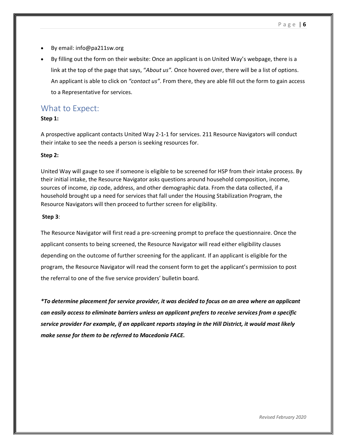- By email: info@pa211sw.org
- By filling out the form on their website: Once an applicant is on United Way's webpage, there is a link at the top of the page that says, "*About us".* Once hovered over, there will be a list of options. An applicant is able to click on *"contact us"*. From there, they are able fill out the form to gain access to a Representative for services.

## What to Expect:

#### **Step 1:**

A prospective applicant contacts United Way 2-1-1 for services. 211 Resource Navigators will conduct their intake to see the needs a person is seeking resources for.

#### **Step 2:**

United Way will gauge to see if someone is eligible to be screened for HSP from their intake process. By their initial intake, the Resource Navigator asks questions around household composition, income, sources of income, zip code, address, and other demographic data. From the data collected, if a household brought up a need for services that fall under the Housing Stabilization Program, the Resource Navigators will then proceed to further screen for eligibility.

#### **Step 3**:

The Resource Navigator will first read a pre-screening prompt to preface the questionnaire. Once the applicant consents to being screened, the Resource Navigator will read either eligibility clauses depending on the outcome of further screening for the applicant. If an applicant is eligible for the program, the Resource Navigator will read the consent form to get the applicant's permission to post the referral to one of the five service providers' bulletin board.

*\*To determine placement for service provider, it was decided to focus on an area where an applicant can easily access to eliminate barriers unless an applicant prefers to receive services from a specific service provider For example, if an applicant reports staying in the Hill District, it would most likely make sense for them to be referred to Macedonia FACE.*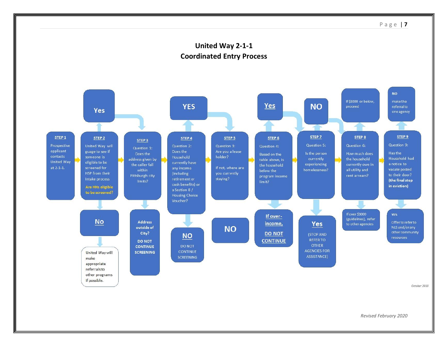

October 2019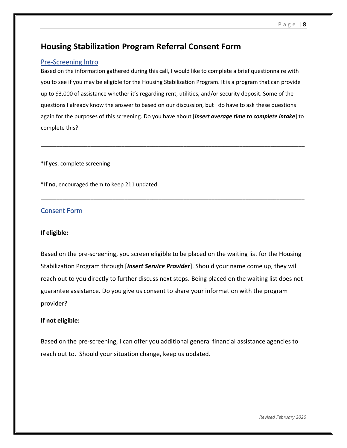# **Housing Stabilization Program Referral Consent Form**

### Pre-Screening Intro

Based on the information gathered during this call, I would like to complete a brief questionnaire with you to see if you may be eligible for the Housing Stabilization Program. It is a program that can provide up to \$3,000 of assistance whether it's regarding rent, utilities, and/or security deposit. Some of the questions I already know the answer to based on our discussion, but I do have to ask these questions again for the purposes of this screening. Do you have about [*insert average time to complete intake*] to complete this?

\_\_\_\_\_\_\_\_\_\_\_\_\_\_\_\_\_\_\_\_\_\_\_\_\_\_\_\_\_\_\_\_\_\_\_\_\_\_\_\_\_\_\_\_\_\_\_\_\_\_\_\_\_\_\_\_\_\_\_\_\_\_\_\_\_\_\_\_\_\_\_\_\_\_\_\_\_\_\_\_\_\_\_\_\_

\_\_\_\_\_\_\_\_\_\_\_\_\_\_\_\_\_\_\_\_\_\_\_\_\_\_\_\_\_\_\_\_\_\_\_\_\_\_\_\_\_\_\_\_\_\_\_\_\_\_\_\_\_\_\_\_\_\_\_\_\_\_\_\_\_\_\_\_\_\_\_\_\_\_\_\_\_\_\_\_\_\_\_\_\_

\*If **yes**, complete screening

\*If **no**, encouraged them to keep 211 updated

## Consent Form

#### **If eligible:**

Based on the pre-screening, you screen eligible to be placed on the waiting list for the Housing Stabilization Program through [*Insert Service Provider*]. Should your name come up, they will reach out to you directly to further discuss next steps. Being placed on the waiting list does not guarantee assistance. Do you give us consent to share your information with the program provider?

### **If not eligible:**

Based on the pre-screening, I can offer you additional general financial assistance agencies to reach out to. Should your situation change, keep us updated.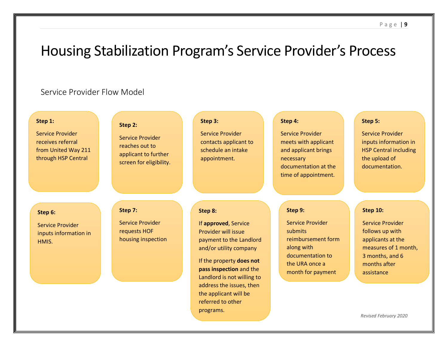# Housing Stabilization Program's Service Provider's Process

# Service Provider Flow Model

| Step 1:<br><b>Service Provider</b><br>receives referral<br>from United Way 211<br>through HSP Central | Step 2:<br><b>Service Provider</b><br>reaches out to<br>applicant to further<br>screen for eligibility. | Step 3:<br><b>Service Provider</b><br>contacts applicant to<br>schedule an intake<br>appointment.                                                                                                                                                     | Step 4:<br><b>Service Provider</b><br>meets with applicant<br>and applicant brings<br>necessary<br>documentation at the<br>time of appointment. | Step 5:<br><b>Service Provider</b><br>inputs information in<br><b>HSP Central including</b><br>the upload of<br>documentation.                              |
|-------------------------------------------------------------------------------------------------------|---------------------------------------------------------------------------------------------------------|-------------------------------------------------------------------------------------------------------------------------------------------------------------------------------------------------------------------------------------------------------|-------------------------------------------------------------------------------------------------------------------------------------------------|-------------------------------------------------------------------------------------------------------------------------------------------------------------|
| Step 6:<br><b>Service Provider</b><br>inputs information in<br>HMIS.                                  | Step 7:<br><b>Service Provider</b><br>requests HOF<br>housing inspection                                | Step 8:<br>If approved, Service<br>Provider will issue<br>payment to the Landlord<br>and/or utility company<br>If the property does not<br>pass inspection and the<br>Landlord is not willing to<br>address the issues, then<br>the applicant will be | Step 9:<br><b>Service Provider</b><br>submits<br>reimbursement form<br>along with<br>documentation to<br>the URA once a<br>month for payment    | <b>Step 10:</b><br><b>Service Provider</b><br>follows up with<br>applicants at the<br>measures of 1 month,<br>3 months, and 6<br>months after<br>assistance |

programs.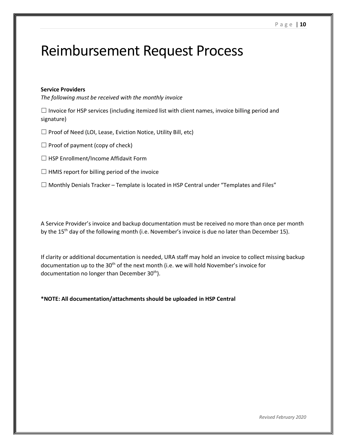# Reimbursement Request Process

#### **Service Providers**

*The following must be received with the monthly invoice*

 $\Box$  Invoice for HSP services (including itemized list with client names, invoice billing period and signature)

☐ Proof of Need (LOI, Lease, Eviction Notice, Utility Bill, etc)

 $\Box$  Proof of payment (copy of check)

☐ HSP Enrollment/Income Affidavit Form

 $\Box$  HMIS report for billing period of the invoice

 $\Box$  Monthly Denials Tracker – Template is located in HSP Central under "Templates and Files"

A Service Provider's invoice and backup documentation must be received no more than once per month by the 15<sup>th</sup> day of the following month (i.e. November's invoice is due no later than December 15).

If clarity or additional documentation is needed, URA staff may hold an invoice to collect missing backup documentation up to the 30th of the next month (i.e. we will hold November's invoice for documentation no longer than December  $30<sup>th</sup>$ ).

**\*NOTE: All documentation/attachments should be uploaded in HSP Central**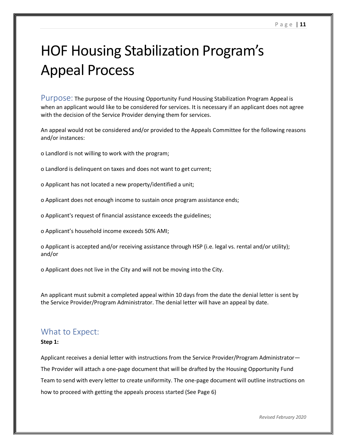# HOF Housing Stabilization Program's Appeal Process

Purpose: The purpose of the Housing Opportunity Fund Housing Stabilization Program Appeal is when an applicant would like to be considered for services. It is necessary if an applicant does not agree with the decision of the Service Provider denying them for services.

An appeal would not be considered and/or provided to the Appeals Committee for the following reasons and/or instances:

o Landlord is not willing to work with the program;

o Landlord is delinquent on taxes and does not want to get current;

o Applicant has not located a new property/identified a unit;

o Applicant does not enough income to sustain once program assistance ends;

o Applicant's request of financial assistance exceeds the guidelines;

o Applicant's household income exceeds 50% AMI;

o Applicant is accepted and/or receiving assistance through HSP (i.e. legal vs. rental and/or utility); and/or

o Applicant does not live in the City and will not be moving into the City.

An applicant must submit a completed appeal within 10 days from the date the denial letter is sent by the Service Provider/Program Administrator. The denial letter will have an appeal by date.

## What to Expect:

#### **Step 1:**

Applicant receives a denial letter with instructions from the Service Provider/Program Administrator— The Provider will attach a one-page document that will be drafted by the Housing Opportunity Fund Team to send with every letter to create uniformity. The one-page document will outline instructions on how to proceed with getting the appeals process started (See Page 6)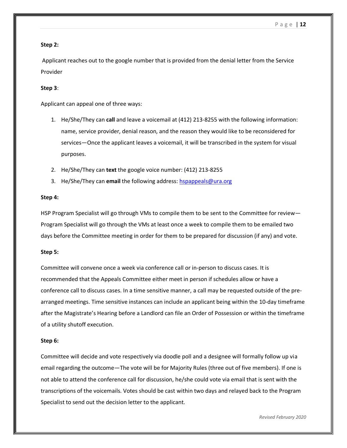#### **Step 2:**

Applicant reaches out to the google number that is provided from the denial letter from the Service Provider

### **Step 3**:

Applicant can appeal one of three ways:

- 1. He/She/They can **call** and leave a voicemail at (412) 213-8255 with the following information: name, service provider, denial reason, and the reason they would like to be reconsidered for services—Once the applicant leaves a voicemail, it will be transcribed in the system for visual purposes.
- 2. He/She/They can **text** the google voice number: (412) 213-8255
- 3. He/She/They can **email** the following address[: hspappeals@ura.org](mailto:hspappeals@ura.org)

#### **Step 4:**

HSP Program Specialist will go through VMs to compile them to be sent to the Committee for review— Program Specialist will go through the VMs at least once a week to compile them to be emailed two days before the Committee meeting in order for them to be prepared for discussion (if any) and vote.

#### **Step 5:**

Committee will convene once a week via conference call or in-person to discuss cases. It is recommended that the Appeals Committee either meet in person if schedules allow or have a conference call to discuss cases. In a time sensitive manner, a call may be requested outside of the prearranged meetings. Time sensitive instances can include an applicant being within the 10-day timeframe after the Magistrate's Hearing before a Landlord can file an Order of Possession or within the timeframe of a utility shutoff execution.

#### **Step 6:**

Committee will decide and vote respectively via doodle poll and a designee will formally follow up via email regarding the outcome—The vote will be for Majority Rules (three out of five members). If one is not able to attend the conference call for discussion, he/she could vote via email that is sent with the transcriptions of the voicemails. Votes should be cast within two days and relayed back to the Program Specialist to send out the decision letter to the applicant.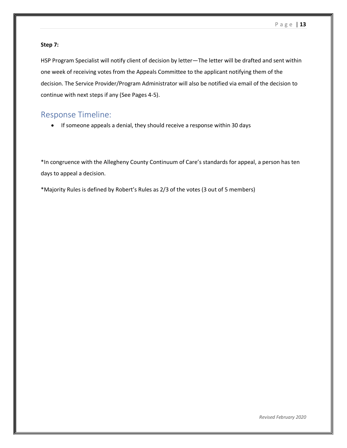#### **Step 7:**

HSP Program Specialist will notify client of decision by letter—The letter will be drafted and sent within one week of receiving votes from the Appeals Committee to the applicant notifying them of the decision. The Service Provider/Program Administrator will also be notified via email of the decision to continue with next steps if any (See Pages 4-5).

## Response Timeline:

• If someone appeals a denial, they should receive a response within 30 days

\*In congruence with the Allegheny County Continuum of Care's standards for appeal, a person has ten days to appeal a decision.

\*Majority Rules is defined by Robert's Rules as 2/3 of the votes (3 out of 5 members)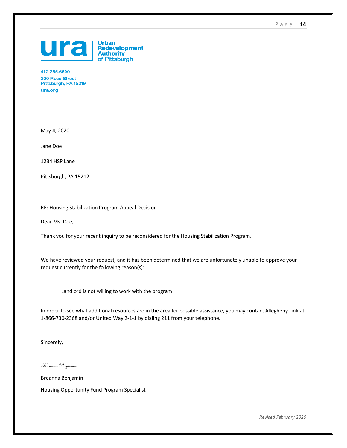P a g e | **14**



412.255.6600 200 Ross Street Pittsburgh, PA 15219 ura.org

May 4, 2020

Jane Doe

1234 HSP Lane

Pittsburgh, PA 15212

RE: Housing Stabilization Program Appeal Decision

Dear Ms. Doe,

Thank you for your recent inquiry to be reconsidered for the Housing Stabilization Program.

We have reviewed your request, and it has been determined that we are unfortunately unable to approve your request currently for the following reason(s):

Landlord is not willing to work with the program

In order to see what additional resources are in the area for possible assistance, you may contact Allegheny Link at 1-866-730-2368 and/or United Way 2-1-1 by dialing 211 from your telephone.

Sincerely,

Breanna Benjamin

Breanna Benjamin

Housing Opportunity Fund Program Specialist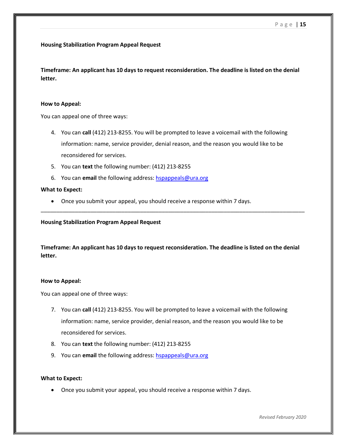#### **Housing Stabilization Program Appeal Request**

**Timeframe: An applicant has 10 days to request reconsideration. The deadline is listed on the denial letter.**

#### **How to Appeal:**

You can appeal one of three ways:

- 4. You can **call** (412) 213-8255. You will be prompted to leave a voicemail with the following information: name, service provider, denial reason, and the reason you would like to be reconsidered for services.
- 5. You can **text** the following number: (412) 213-8255
- 6. You can **email** the following address: [hspappeals@ura.org](mailto:hspappeals@ura.org)

#### **What to Expect:**

• Once you submit your appeal, you should receive a response within 7 days.

**Housing Stabilization Program Appeal Request**

**Timeframe: An applicant has 10 days to request reconsideration. The deadline is listed on the denial letter.**

\_\_\_\_\_\_\_\_\_\_\_\_\_\_\_\_\_\_\_\_\_\_\_\_\_\_\_\_\_\_\_\_\_\_\_\_\_\_\_\_\_\_\_\_\_\_\_\_\_\_\_\_\_\_\_\_\_\_\_\_\_\_\_\_\_\_\_\_\_\_\_\_\_\_\_\_\_\_\_\_\_\_\_\_\_

#### **How to Appeal:**

You can appeal one of three ways:

- 7. You can **call** (412) 213-8255. You will be prompted to leave a voicemail with the following information: name, service provider, denial reason, and the reason you would like to be reconsidered for services.
- 8. You can **text** the following number: (412) 213-8255
- 9. You can **email** the following address: [hspappeals@ura.org](mailto:hspappeals@ura.org)

#### **What to Expect:**

• Once you submit your appeal, you should receive a response within 7 days.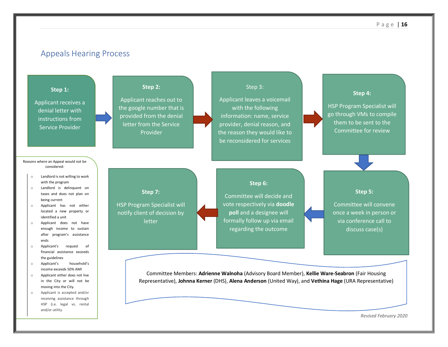## Appeals Hearing Process

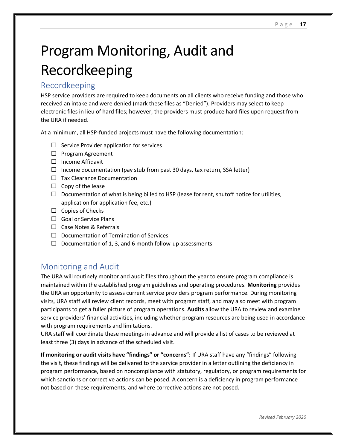# Program Monitoring, Audit and Recordkeeping

## Recordkeeping

HSP service providers are required to keep documents on all clients who receive funding and those who received an intake and were denied (mark these files as "Denied"). Providers may select to keep electronic files in lieu of hard files; however, the providers must produce hard files upon request from the URA if needed.

At a minimum, all HSP-funded projects must have the following documentation:

- $\Box$  Service Provider application for services
- $\Box$  Program Agreement
- $\square$  Income Affidavit
- $\Box$  Income documentation (pay stub from past 30 days, tax return, SSA letter)
- $\Box$  Tax Clearance Documentation
- $\square$  Copy of the lease
- $\Box$  Documentation of what is being billed to HSP (lease for rent, shutoff notice for utilities, application for application fee, etc.)
- $\Box$  Copies of Checks
- $\Box$  Goal or Service Plans
- □ Case Notes & Referrals
- $\Box$  Documentation of Termination of Services
- $\Box$  Documentation of 1, 3, and 6 month follow-up assessments

# Monitoring and Audit

The URA will routinely monitor and audit files throughout the year to ensure program compliance is maintained within the established program guidelines and operating procedures. **Monitoring** provides the URA an opportunity to assess current service providers program performance. During monitoring visits, URA staff will review client records, meet with program staff, and may also meet with program participants to get a fuller picture of program operations. **Audits** allow the URA to review and examine service providers' financial activities, including whether program resources are being used in accordance with program requirements and limitations.

URA staff will coordinate these meetings in advance and will provide a list of cases to be reviewed at least three (3) days in advance of the scheduled visit.

**If monitoring or audit visits have "findings" or "concerns":** If URA staff have any "findings" following the visit, these findings will be delivered to the service provider in a letter outlining the deficiency in program performance, based on noncompliance with statutory, regulatory, or program requirements for which sanctions or corrective actions can be posed. A concern is a deficiency in program performance not based on these requirements, and where corrective actions are not posed.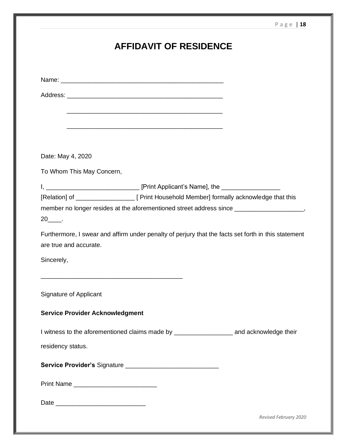# **AFFIDAVIT OF RESIDENCE**

Name: \_\_\_\_\_\_\_\_\_\_\_\_\_\_\_\_\_\_\_\_\_\_\_\_\_\_\_\_\_\_\_\_\_\_\_\_\_\_\_\_\_\_\_\_\_\_\_

Address: \_\_\_\_\_\_\_\_\_\_\_\_\_\_\_\_\_\_\_\_\_\_\_\_\_\_\_\_\_\_\_\_\_\_\_\_\_\_\_\_\_\_\_\_\_

Date: May 4, 2020

To Whom This May Concern,

I, \_\_\_\_\_\_\_\_\_\_\_\_\_\_\_\_\_\_\_\_\_\_\_\_\_\_\_ [Print Applicant's Name], the \_\_\_\_\_\_\_\_\_\_\_\_\_\_\_\_\_

\_\_\_\_\_\_\_\_\_\_\_\_\_\_\_\_\_\_\_\_\_\_\_\_\_\_\_\_\_\_\_\_\_\_\_\_\_\_\_\_\_\_\_\_\_

\_\_\_\_\_\_\_\_\_\_\_\_\_\_\_\_\_\_\_\_\_\_\_\_\_\_\_\_\_\_\_\_\_\_\_\_\_\_\_\_\_\_\_\_\_

[Relation] of \_\_\_\_\_\_\_\_\_\_\_\_\_\_\_\_\_ [ Print Household Member] formally acknowledge that this

member no longer resides at the aforementioned street address since \_\_\_\_\_\_\_\_\_\_\_\_\_\_\_\_\_\_\_,

20\_\_\_\_.

Furthermore, I swear and affirm under penalty of perjury that the facts set forth in this statement are true and accurate.

Sincerely,

Signature of Applicant

#### **Service Provider Acknowledgment**

\_\_\_\_\_\_\_\_\_\_\_\_\_\_\_\_\_\_\_\_\_\_\_\_\_\_\_\_\_\_\_\_\_\_\_\_\_\_\_\_\_

I witness to the aforementioned claims made by \_\_\_\_\_\_\_\_\_\_\_\_\_\_\_\_\_\_\_\_\_\_\_\_\_\_\_\_\_\_\_\_\_\_ and acknowledge their

residency status.

**Service Provider's** Signature \_\_\_\_\_\_\_\_\_\_\_\_\_\_\_\_\_\_\_\_\_\_\_\_\_\_\_

Print Name \_\_\_\_\_\_\_\_\_\_\_\_\_\_\_\_\_\_\_\_\_\_\_\_

Date \_\_\_\_\_\_\_\_\_\_\_\_\_\_\_\_\_\_\_\_\_\_\_\_\_\_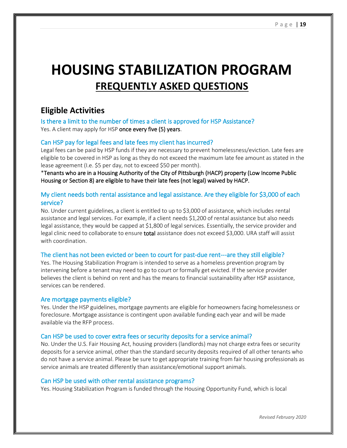# **HOUSING STABILIZATION PROGRAM FREQUENTLY ASKED QUESTIONS**

## **Eligible Activities**

Is there a limit to the number of times a client is approved for HSP Assistance? Yes. A client may apply for HSP once every five (5) years.

### Can HSP pay for legal fees and late fees my client has incurred?

Legal fees can be paid by HSP funds if they are necessary to prevent homelessness/eviction. Late fees are eligible to be covered in HSP as long as they do not exceed the maximum late fee amount as stated in the lease agreement (I.e. \$5 per day, not to exceed \$50 per month).

\*Tenants who are in a Housing Authority of the City of Pittsburgh (HACP) property (Low Income Public Housing or Section 8) are eligible to have their late fees (not legal) waived by HACP.

## My client needs both rental assistance and legal assistance. Are they eligible for \$3,000 of each service?

No. Under current guidelines, a client is entitled to up to \$3,000 of assistance, which includes rental assistance and legal services. For example, if a client needs \$1,200 of rental assistance but also needs legal assistance, they would be capped at \$1,800 of legal services. Essentially, the service provider and legal clinic need to collaborate to ensure total assistance does not exceed \$3,000. URA staff will assist with coordination.

### The client has not been evicted or been to court for past-due rent---are they still eligible?

Yes. The Housing Stabilization Program is intended to serve as a homeless prevention program by intervening before a tenant may need to go to court or formally get evicted. If the service provider believes the client is behind on rent and has the means to financial sustainability after HSP assistance, services can be rendered.

### Are mortgage payments eligible?

Yes. Under the HSP guidelines, mortgage payments are eligible for homeowners facing homelessness or foreclosure. Mortgage assistance is contingent upon available funding each year and will be made available via the RFP process.

### Can HSP be used to cover extra fees or security deposits for a service animal?

No. Under the U.S. Fair Housing Act, housing providers (landlords) may not charge extra fees or security deposits for a service animal, other than the standard security deposits required of all other tenants who do not have a service animal. Please be sure to get appropriate training from fair housing professionals as service animals are treated differently than assistance/emotional support animals.

### Can HSP be used with other rental assistance programs?

Yes. Housing Stabilization Program is funded through the Housing Opportunity Fund, which is local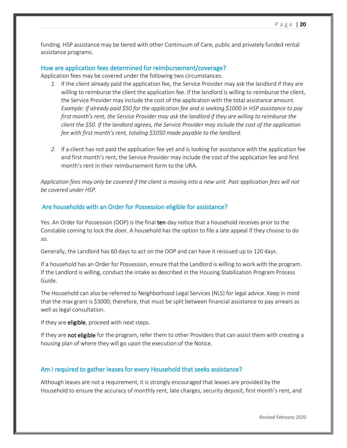funding. HSP assistance may be tiered with other Continuum of Care, public and privately funded rental assistance programs.

#### How are application fees determined for reimbursement/coverage?

Application fees may be covered under the following two circumstances:

- *1.* If the client already paid the application fee, the Service Provider may ask the landlord if they are willing to reimburse the client the application fee. If the landlord is willing to reimburse the client, the Service Provider may include the cost of the application with the total assistance amount. *Example: If already paid \$50 for the application fee and is seeking \$1000 in HSP assistance to pay first month's rent, the Service Provider may ask the landlord if they are willing to reimburse the client the \$50. If the landlord agrees, the Service Provider may include the cost of the application fee with first month's rent, totaling \$1050 made payable to the landlord.*
- *2.* If a client has not paid the application fee yet and is looking for assistance with the application fee and first month's rent, the Service Provider may include the cost of the application fee and first month's rent in their reimbursement form to the URA.

*Application fees may only be covered if the client is moving into a new unit. Past application fees will not be covered under HSP.* 

#### Are households with an Order for Possession eligible for assistance?

Yes. An Order for Possession (OOP) is the final ten-day notice that a household receives prior to the Constable coming to lock the door. A household has the option to file a late appeal if they choose to do so.

Generally, the Landlord has 60 days to act on the OOP and can have it reissued up to 120 days.

If a household has an Order for Possession, ensure that the Landlord is willing to work with the program. If the Landlord is willing, conduct the intake as described in the Housing Stabilization Program Process Guide.

The Household can also be referred to Neighborhood Legal Services (NLS) for legal advice. Keep in mind that the max grant is \$3000; therefore, that must be split between financial assistance to pay arrears as well as legal consultation.

If they are **eligible**, proceed with next steps.

If they are not eligible for the program, refer them to other Providers that can assist them with creating a housing plan of where they will go upon the execution of the Notice.

#### Am I required to gather leases for every Household that seeks assistance?

Although leases are not a requirement, it is strongly encouraged that leases are provided by the Household to ensure the accuracy of monthly rent, late charges, security deposit, first month's rent, and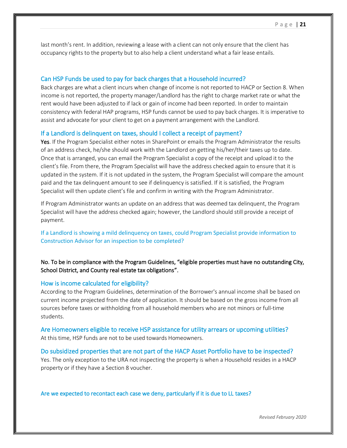last month's rent. In addition, reviewing a lease with a client can not only ensure that the client has occupancy rights to the property but to also help a client understand what a fair lease entails.

#### Can HSP Funds be used to pay for back charges that a Household incurred?

Back charges are what a client incurs when change of income is not reported to HACP or Section 8. When income is not reported, the property manager/Landlord has the right to charge market rate or what the rent would have been adjusted to if lack or gain of income had been reported. In order to maintain consistency with federal HAP programs, HSP funds cannot be used to pay back charges. It is imperative to assist and advocate for your client to get on a payment arrangement with the Landlord.

#### If a Landlord is delinquent on taxes, should I collect a receipt of payment?

Yes. If the Program Specialist either notes in SharePoint or emails the Program Administrator the results of an address check, he/she should work with the Landlord on getting his/her/their taxes up to date. Once that is arranged, you can email the Program Specialist a copy of the receipt and upload it to the client's file. From there, the Program Specialist will have the address checked again to ensure that it is updated in the system. If it is not updated in the system, the Program Specialist will compare the amount paid and the tax delinquent amount to see if delinquency is satisfied. If it is satisfied, the Program Specialist will then update client's file and confirm in writing with the Program Administrator.

If Program Administrator wants an update on an address that was deemed tax delinquent, the Program Specialist will have the address checked again; however, the Landlord should still provide a receipt of payment.

If a Landlord is showing a mild delinquency on taxes, could Program Specialist provide information to Construction Advisor for an inspection to be completed?

### No. To be in compliance with the Program Guidelines, "eligible properties must have no outstanding City, School District, and County real estate tax obligations".

#### How is income calculated for eligibility?

According to the Program Guidelines, determination of the Borrower's annual income shall be based on current income projected from the date of application. It should be based on the gross income from all sources before taxes or withholding from all household members who are not minors or full-time students.

Are Homeowners eligible to receive HSP assistance for utility arrears or upcoming utilities? At this time, HSP funds are not to be used towards Homeowners.

## Do subsidized properties that are not part of the HACP Asset Portfolio have to be inspected? Yes. The only exception to the URA not inspecting the property is when a Household resides in a HACP property or if they have a Section 8 voucher.

Are we expected to recontact each case we deny, particularly if it is due to LL taxes?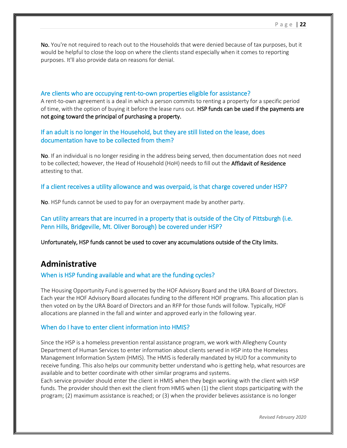No. You're not required to reach out to the Households that were denied because of tax purposes, but it would be helpful to close the loop on where the clients stand especially when it comes to reporting purposes. It'll also provide data on reasons for denial.

#### Are clients who are occupying rent-to-own properties eligible for assistance?

A rent-to-own agreement is a deal in which a person commits to renting a property for a specific period of time, with the option of buying it before the lease runs out. HSP funds can be used if the payments are not going toward the principal of purchasing a property.

If an adult is no longer in the Household, but they are still listed on the lease, does documentation have to be collected from them?

No. If an individual is no longer residing in the address being served, then documentation does not need to be collected; however, the Head of Household (HoH) needs to fill out the Affidavit of Residence attesting to that.

If a client receives a utility allowance and was overpaid, is that charge covered under HSP?

No. HSP funds cannot be used to pay for an overpayment made by another party.

Can utility arrears that are incurred in a property that is outside of the City of Pittsburgh (i.e. Penn Hills, Bridgeville, Mt. Oliver Borough) be covered under HSP?

Unfortunately, HSP funds cannot be used to cover any accumulations outside of the City limits.

## **Administrative**

#### When is HSP funding available and what are the funding cycles?

The Housing Opportunity Fund is governed by the HOF Advisory Board and the URA Board of Directors. Each year the HOF Advisory Board allocates funding to the different HOF programs. This allocation plan is then voted on by the URA Board of Directors and an RFP for those funds will follow. Typically, HOF allocations are planned in the fall and winter and approved early in the following year.

#### When do I have to enter client information into HMIS?

Since the HSP is a homeless prevention rental assistance program, we work with Allegheny County Department of Human Services to enter information about clients served in HSP into the Homeless Management Information System (HMIS). The HMIS is federally mandated by HUD for a community to receive funding. This also helps our community better understand who is getting help, what resources are available and to better coordinate with other similar programs and systems.

Each service provider should enter the client in HMIS when they begin working with the client with HSP funds. The provider should then exit the client from HMIS when (1) the client stops participating with the program; (2) maximum assistance is reached; or (3) when the provider believes assistance is no longer